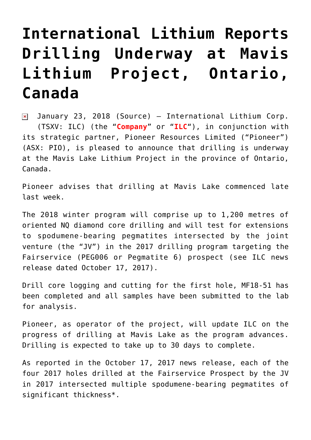# **[International Lithium Reports](https://investorintel.com/markets/technology-metals/technology-metals-news/international-lithium-reports-drilling-underway-mavis-lithium-project-ontario-canada/) [Drilling Underway at Mavis](https://investorintel.com/markets/technology-metals/technology-metals-news/international-lithium-reports-drilling-underway-mavis-lithium-project-ontario-canada/) [Lithium Project, Ontario,](https://investorintel.com/markets/technology-metals/technology-metals-news/international-lithium-reports-drilling-underway-mavis-lithium-project-ontario-canada/) [Canada](https://investorintel.com/markets/technology-metals/technology-metals-news/international-lithium-reports-drilling-underway-mavis-lithium-project-ontario-canada/)**

 $\sqrt{2}$  January 23, 2018 ([Source](https://investorintel.com/iintel-members/international-lithium-corp/)) – International Lithium Corp. (TSXV: ILC) (the "**Company**" or "**ILC**"), in conjunction with its strategic partner, Pioneer Resources Limited ("Pioneer") (ASX: PIO), is pleased to announce that drilling is underway at the Mavis Lake Lithium Project in the province of Ontario, Canada.

Pioneer advises that drilling at Mavis Lake commenced late last week.

The 2018 winter program will comprise up to 1,200 metres of oriented NQ diamond core drilling and will test for extensions to spodumene-bearing pegmatites intersected by the joint venture (the "JV") in the 2017 drilling program targeting the Fairservice (PEG006 or Pegmatite 6) prospect (see ILC news release dated October 17, 2017).

Drill core logging and cutting for the first hole, MF18-51 has been completed and all samples have been submitted to the lab for analysis.

Pioneer, as operator of the project, will update ILC on the progress of drilling at Mavis Lake as the program advances. Drilling is expected to take up to 30 days to complete.

As reported in the October 17, 2017 news release, each of the four 2017 holes drilled at the Fairservice Prospect by the JV in 2017 intersected multiple spodumene-bearing pegmatites of significant thickness\*.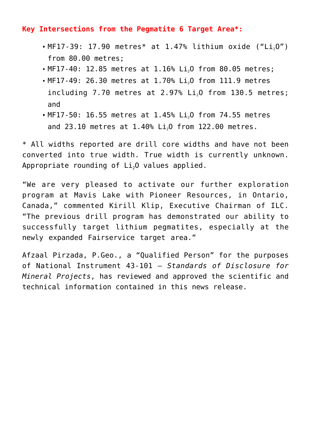#### **Key Intersections from the Pegmatite 6 Target Area\*:**

- $-MF17-39: 17.90$  metres\* at 1.47% lithium oxide ("Li<sub>2</sub>O") from 80.00 metres;
- MF17-40: 12.85 metres at 1.16% Li<sub>2</sub>O from 80.05 metres;
- MF17-49: 26.30 metres at 1.70% Li<sub>2</sub>O from 111.9 metres including  $7.70$  metres at  $2.97\%$  Li<sub>2</sub>O from 130.5 metres; and
- $\blacksquare$  MF17-50: 16.55 metres at 1.45% Li<sub>2</sub>O from 74.55 metres and  $23.10$  metres at  $1.40\%$  Li<sub>2</sub>O from  $122.00$  metres.

\* All widths reported are drill core widths and have not been converted into true width. True width is currently unknown. Appropriate rounding of  $Li<sub>2</sub>O$  values applied.

"We are very pleased to activate our further exploration program at Mavis Lake with Pioneer Resources, in Ontario, Canada," commented Kirill Klip, Executive Chairman of ILC. "The previous drill program has demonstrated our ability to successfully target lithium pegmatites, especially at the newly expanded Fairservice target area."

Afzaal Pirzada, P.Geo., a "Qualified Person" for the purposes of National Instrument 43-101 – *Standards of Disclosure for Mineral Projects*, has reviewed and approved the scientific and technical information contained in this news release.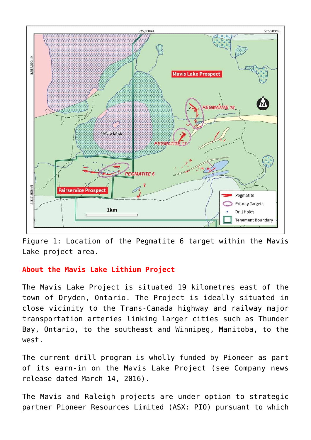

Figure 1: Location of the Pegmatite 6 target within the Mavis Lake project area.

### **About the Mavis Lake Lithium Project**

The Mavis Lake Project is situated 19 kilometres east of the town of Dryden, Ontario. The Project is ideally situated in close vicinity to the Trans-Canada highway and railway major transportation arteries linking larger cities such as Thunder Bay, Ontario, to the southeast and Winnipeg, Manitoba, to the west.

The current drill program is wholly funded by Pioneer as part of its earn-in on the Mavis Lake Project (see Company news release dated March 14, 2016).

The Mavis and Raleigh projects are under option to strategic partner Pioneer Resources Limited (ASX: PIO) pursuant to which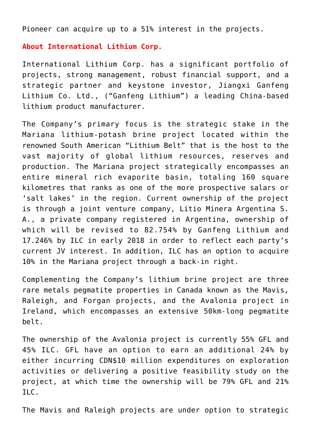Pioneer can acquire up to a 51% interest in the projects.

#### **About International Lithium Corp.**

International Lithium Corp. has a significant portfolio of projects, strong management, robust financial support, and a strategic partner and keystone investor, Jiangxi Ganfeng Lithium Co. Ltd., ("Ganfeng Lithium") a leading China-based lithium product manufacturer.

The Company's primary focus is the strategic stake in the Mariana lithium-potash brine project located within the renowned South American "Lithium Belt" that is the host to the vast majority of global lithium resources, reserves and production. The Mariana project strategically encompasses an entire mineral rich evaporite basin, totaling 160 square kilometres that ranks as one of the more prospective salars or 'salt lakes' in the region. Current ownership of the project is through a joint venture company, Litio Minera Argentina S. A., a private company registered in Argentina, ownership of which will be revised to 82.754% by Ganfeng Lithium and 17.246% by ILC in early 2018 in order to reflect each party's current JV interest. In addition, ILC has an option to acquire 10% in the Mariana project through a back-in right.

Complementing the Company's lithium brine project are three rare metals pegmatite properties in Canada known as the Mavis, Raleigh, and Forgan projects, and the Avalonia project in Ireland, which encompasses an extensive 50km-long pegmatite belt.

The ownership of the Avalonia project is currently 55% GFL and 45% ILC. GFL have an option to earn an additional 24% by either incurring CDN\$10 million expenditures on exploration activities or delivering a positive feasibility study on the project, at which time the ownership will be 79% GFL and 21% ILC.

The Mavis and Raleigh projects are under option to strategic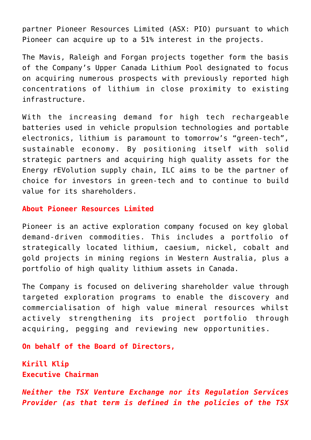partner Pioneer Resources Limited (ASX: PIO) pursuant to which Pioneer can acquire up to a 51% interest in the projects.

The Mavis, Raleigh and Forgan projects together form the basis of the Company's Upper Canada Lithium Pool designated to focus on acquiring numerous prospects with previously reported high concentrations of lithium in close proximity to existing infrastructure.

With the increasing demand for high tech rechargeable batteries used in vehicle propulsion technologies and portable electronics, lithium is paramount to tomorrow's "green-tech", sustainable economy. By positioning itself with solid strategic partners and acquiring high quality assets for the Energy rEVolution supply chain, ILC aims to be the partner of choice for investors in green-tech and to continue to build value for its shareholders.

#### **About Pioneer Resources Limited**

Pioneer is an active exploration company focused on key global demand-driven commodities. This includes a portfolio of strategically located lithium, caesium, nickel, cobalt and gold projects in mining regions in Western Australia, plus a portfolio of high quality lithium assets in Canada.

The Company is focused on delivering shareholder value through targeted exploration programs to enable the discovery and commercialisation of high value mineral resources whilst actively strengthening its project portfolio through acquiring, pegging and reviewing new opportunities.

**On behalf of the Board of Directors,**

**Kirill Klip Executive Chairman**

*Neither the TSX Venture Exchange nor its Regulation Services Provider (as that term is defined in the policies of the TSX*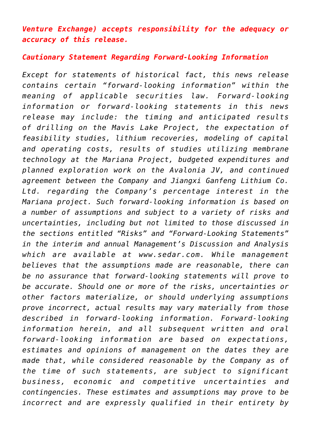## *Venture Exchange) accepts responsibility for the adequacy or accuracy of this release.*

#### *Cautionary Statement Regarding Forward-Looking Information*

*Except for statements of historical fact, this news release contains certain "forward-looking information" within the meaning of applicable securities law. Forward-looking information or forward-looking statements in this news release may include: the timing and anticipated results of drilling on the Mavis Lake Project, the expectation of feasibility studies, lithium recoveries, modeling of capital and operating costs, results of studies utilizing membrane technology at the Mariana Project, budgeted expenditures and planned exploration work on the Avalonia JV, and continued agreement between the Company and Jiangxi Ganfeng Lithium Co. Ltd. regarding the Company's percentage interest in the Mariana project. Such forward-looking information is based on a number of assumptions and subject to a variety of risks and uncertainties, including but not limited to those discussed in the sections entitled "Risks" and "Forward-Looking Statements" in the interim and annual Management's Discussion and Analysis which are available at [www.sedar.com](http://www.sedar.com/). While management believes that the assumptions made are reasonable, there can be no assurance that forward-looking statements will prove to be accurate. Should one or more of the risks, uncertainties or other factors materialize, or should underlying assumptions prove incorrect, actual results may vary materially from those described in forward-looking information. Forward-looking information herein, and all subsequent written and oral forward-looking information are based on expectations, estimates and opinions of management on the dates they are made that, while considered reasonable by the Company as of the time of such statements, are subject to significant business, economic and competitive uncertainties and contingencies. These estimates and assumptions may prove to be incorrect and are expressly qualified in their entirety by*